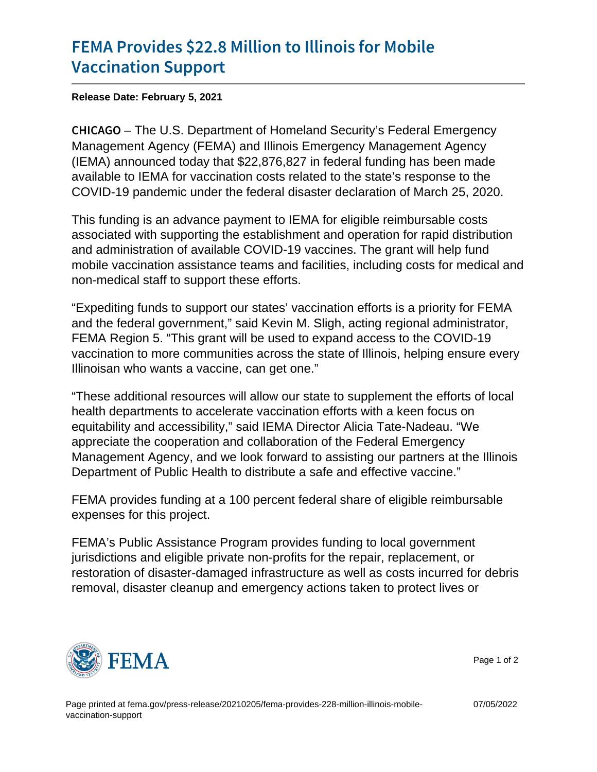## [FEMA Provides \\$22.8 Million](https://www.fema.gov/press-release/20210205/fema-provides-228-million-illinois-mobile-vaccination-support) to Illinois fo [Vaccination](https://www.fema.gov/press-release/20210205/fema-provides-228-million-illinois-mobile-vaccination-support) Support

Release Date: February 5, 2021

C H I C A GIO U.S. Department of Homeland Security's Federal Emergency Management Agency (FEMA) and Illinois Emergency Management Agency (IEMA) announced today that \$22,876,827 in federal funding has been made available to IEMA for vaccination costs related to the state's response to the COVID-19 pandemic under the federal disaster declaration of March 25, 2020.

This funding is an advance payment to IEMA for eligible reimbursable costs associated with supporting the establishment and operation for rapid distribution and administration of available COVID-19 vaccines. The grant will help fund mobile vaccination assistance teams and facilities, including costs for medical and non-medical staff to support these efforts.

"Expediting funds to support our states' vaccination efforts is a priority for FEMA and the federal government," said Kevin M. Sligh, acting regional administrator, FEMA Region 5. "This grant will be used to expand access to the COVID-19 vaccination to more communities across the state of Illinois, helping ensure every Illinoisan who wants a vaccine, can get one."

"These additional resources will allow our state to supplement the efforts of local health departments to accelerate vaccination efforts with a keen focus on equitability and accessibility," said IEMA Director Alicia Tate-Nadeau. "We appreciate the cooperation and collaboration of the Federal Emergency Management Agency, and we look forward to assisting our partners at the Illinois Department of Public Health to distribute a safe and effective vaccine."

FEMA provides funding at a 100 percent federal share of eligible reimbursable expenses for this project.

FEMA's Public Assistance Program provides funding to local government jurisdictions and eligible private non-profits for the repair, replacement, or restoration of disaster-damaged infrastructure as well as costs incurred for debris removal, disaster cleanup and emergency actions taken to protect lives or



Page 1 of 2